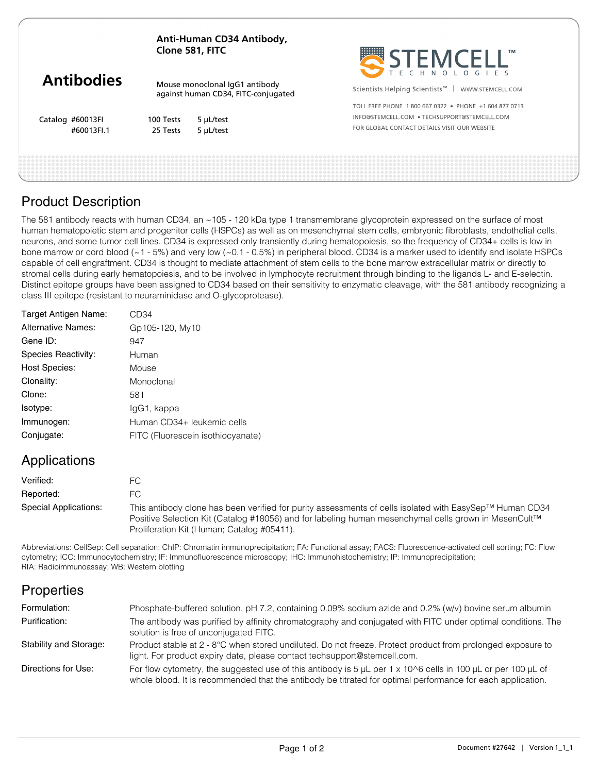| Anti-Human CD34 Antibody, |
|---------------------------|
| Clone 581, FITC           |

|                   | CIVIIC JUI, IIIC<br>Mouse monoclonal IqG1 antibody<br>against human CD34, FITC-conjugated |           | $\sum_{\tau}$ $\sum_{\epsilon}$ $\prod_{\mu}$ $\bigcup_{\sigma}$ $\bigcup_{\epsilon}$ $\bigcup_{\epsilon}$ $\bigcup_{\epsilon}$ $\bigcup_{\epsilon}$<br>$\cdots$ |
|-------------------|-------------------------------------------------------------------------------------------|-----------|------------------------------------------------------------------------------------------------------------------------------------------------------------------|
| <b>Antibodies</b> |                                                                                           |           | Scientists Helping Scientists <sup>™</sup>  <br>WWW.STEMCELL.COM                                                                                                 |
|                   |                                                                                           |           | TOLL FREE PHONE 1800 667 0322 . PHONE +1 604 877 0713                                                                                                            |
| Catalog #60013FI  | 100 Tests                                                                                 | 5 µL/test | INFO@STEMCELL.COM . TECHSUPPORT@STEMCELL.COM                                                                                                                     |
| #60013FI.1        | 25 Tests                                                                                  | 5 µL/test | FOR GLOBAL CONTACT DETAILS VISIT OUR WEBSITE                                                                                                                     |
|                   |                                                                                           |           |                                                                                                                                                                  |
|                   |                                                                                           |           |                                                                                                                                                                  |
|                   |                                                                                           |           |                                                                                                                                                                  |
|                   |                                                                                           |           |                                                                                                                                                                  |

**::::::::::** 

### Product Description

The 581 antibody reacts with human CD34, an ~105 - 120 kDa type 1 transmembrane glycoprotein expressed on the surface of most human hematopoietic stem and progenitor cells (HSPCs) as well as on mesenchymal stem cells, embryonic fibroblasts, endothelial cells, neurons, and some tumor cell lines. CD34 is expressed only transiently during hematopoiesis, so the frequency of CD34+ cells is low in bone marrow or cord blood (~1 - 5%) and very low (~0.1 - 0.5%) in peripheral blood. CD34 is a marker used to identify and isolate HSPCs capable of cell engraftment. CD34 is thought to mediate attachment of stem cells to the bone marrow extracellular matrix or directly to stromal cells during early hematopoiesis, and to be involved in lymphocyte recruitment through binding to the ligands L- and E-selectin. Distinct epitope groups have been assigned to CD34 based on their sensitivity to enzymatic cleavage, with the 581 antibody recognizing a class III epitope (resistant to neuraminidase and O-glycoprotease).

| Target Antigen Name:      | CD34                              |
|---------------------------|-----------------------------------|
| <b>Alternative Names:</b> | Gp105-120, My10                   |
| Gene ID:                  | 947                               |
| Species Reactivity:       | Human                             |
| <b>Host Species:</b>      | Mouse                             |
| Clonality:                | Monoclonal                        |
| Clone:                    | 581                               |
| Isotype:                  | IgG1, kappa                       |
| Immunogen:                | Human CD34+ leukemic cells        |
| Conjugate:                | FITC (Fluorescein isothiocyanate) |
|                           |                                   |

# Applications

| Verified:             | FC.                                                                                                                                                                                                                                                           |
|-----------------------|---------------------------------------------------------------------------------------------------------------------------------------------------------------------------------------------------------------------------------------------------------------|
| Reported:             | FC.                                                                                                                                                                                                                                                           |
| Special Applications: | This antibody clone has been verified for purity assessments of cells isolated with EasySep™ Human CD34<br>Positive Selection Kit (Catalog #18056) and for labeling human mesenchymal cells grown in MesenCult™<br>Proliferation Kit (Human; Catalog #05411). |

Abbreviations: CellSep: Cell separation; ChIP: Chromatin immunoprecipitation; FA: Functional assay; FACS: Fluorescence-activated cell sorting; FC: Flow cytometry; ICC: Immunocytochemistry; IF: Immunofluorescence microscopy; IHC: Immunohistochemistry; IP: Immunoprecipitation; RIA: Radioimmunoassay; WB: Western blotting

# **Properties**

| Formulation:           | Phosphate-buffered solution, pH 7.2, containing 0.09% sodium azide and 0.2% (w/v) bovine serum albumin                                                                                                                                            |
|------------------------|---------------------------------------------------------------------------------------------------------------------------------------------------------------------------------------------------------------------------------------------------|
| Purification:          | The antibody was purified by affinity chromatography and conjugated with FITC under optimal conditions. The<br>solution is free of unconjugated FITC.                                                                                             |
| Stability and Storage: | Product stable at 2 - 8°C when stored undiluted. Do not freeze. Protect product from prolonged exposure to<br>light. For product expiry date, please contact techsupport@stemcell.com.                                                            |
| Directions for Use:    | For flow cytometry, the suggested use of this antibody is 5 $\mu$ L per 1 x 10 $\circ$ 6 cells in 100 $\mu$ L or per 100 $\mu$ L of<br>whole blood. It is recommended that the antibody be titrated for optimal performance for each application. |